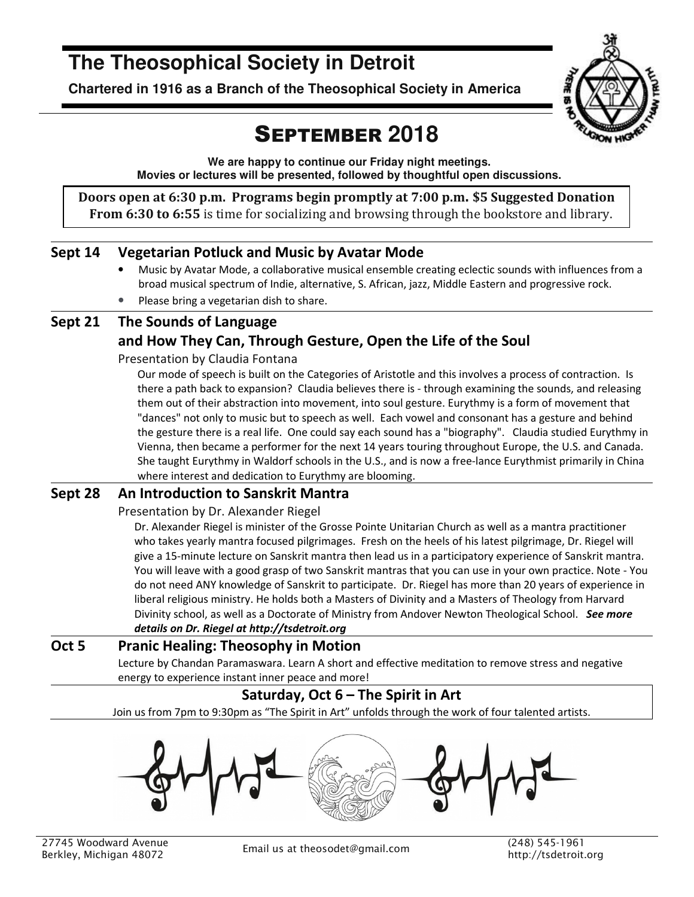# **The Theosophical Society in Detroit**

**Chartered in 1916 as a Branch of the Theosophical Society in America** 



# SEPTEMBER **2018**

**We are happy to continue our Friday night meetings. Movies or lectures will be presented, followed by thoughtful open discussions.** 

**Doors open at 6:30 p.m. Programs begin promptly at 7:00 p.m. \$5 Suggested Donation From 6:30 to 6:55** is time for socializing and browsing through the bookstore and library.

## **Sept 14 Vegetarian Potluck and Music by Avatar Mode**

- Music by Avatar Mode, a collaborative musical ensemble creating eclectic sounds with influences from a broad musical spectrum of Indie, alternative, S. African, jazz, Middle Eastern and progressive rock.
- Please bring a vegetarian dish to share.

## **Sept 21 The Sounds of Language and How They Can, Through Gesture, Open the Life of the Soul**

Presentation by Claudia Fontana

Our mode of speech is built on the Categories of Aristotle and this involves a process of contraction. Is there a path back to expansion? Claudia believes there is - through examining the sounds, and releasing them out of their abstraction into movement, into soul gesture. Eurythmy is a form of movement that "dances" not only to music but to speech as well. Each vowel and consonant has a gesture and behind the gesture there is a real life. One could say each sound has a "biography". Claudia studied Eurythmy in Vienna, then became a performer for the next 14 years touring throughout Europe, the U.S. and Canada. She taught Eurythmy in Waldorf schools in the U.S., and is now a free-lance Eurythmist primarily in China where interest and dedication to Eurythmy are blooming.

### **Sept 28 An Introduction to Sanskrit Mantra**

Presentation by Dr. Alexander Riegel

Dr. Alexander Riegel is minister of the Grosse Pointe Unitarian Church as well as a mantra practitioner who takes yearly mantra focused pilgrimages. Fresh on the heels of his latest pilgrimage, Dr. Riegel will give a 15-minute lecture on Sanskrit mantra then lead us in a participatory experience of Sanskrit mantra. You will leave with a good grasp of two Sanskrit mantras that you can use in your own practice. Note - You do not need ANY knowledge of Sanskrit to participate. Dr. Riegel has more than 20 years of experience in liberal religious ministry. He holds both a Masters of Divinity and a Masters of Theology from Harvard Divinity school, as well as a Doctorate of Ministry from Andover Newton Theological School. *See more details on Dr. Riegel at http://tsdetroit.org*

## **Oct 5 Pranic Healing: Theosophy in Motion**

Lecture by Chandan Paramaswara. Learn A short and effective meditation to remove stress and negative energy to experience instant inner peace and more!

# **Saturday, Oct 6 – The Spirit in Art**

Join us from 7pm to 9:30pm as "The Spirit in Art" unfolds through the work of four talented artists.